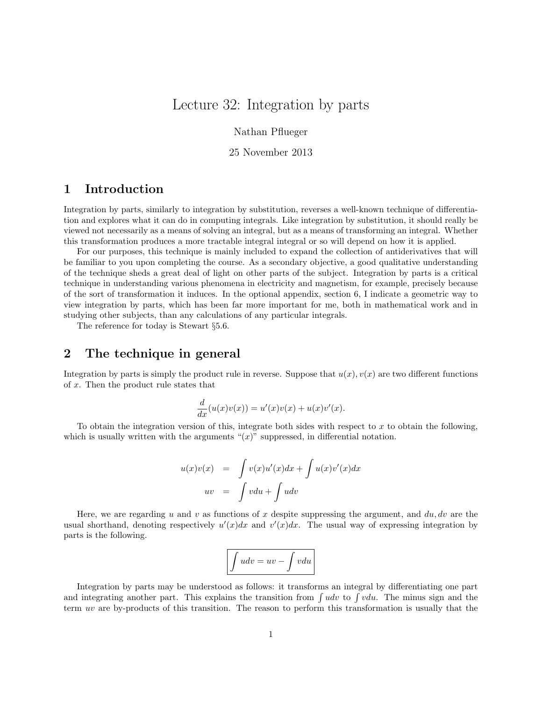## Lecture 32: Integration by parts

Nathan Pflueger

25 November 2013

## 1 Introduction

Integration by parts, similarly to integration by substitution, reverses a well-known technique of differentiation and explores what it can do in computing integrals. Like integration by substitution, it should really be viewed not necessarily as a means of solving an integral, but as a means of transforming an integral. Whether this transformation produces a more tractable integral integral or so will depend on how it is applied.

For our purposes, this technique is mainly included to expand the collection of antiderivatives that will be familiar to you upon completing the course. As a secondary objective, a good qualitative understanding of the technique sheds a great deal of light on other parts of the subject. Integration by parts is a critical technique in understanding various phenomena in electricity and magnetism, for example, precisely because of the sort of transformation it induces. In the optional appendix, section 6, I indicate a geometric way to view integration by parts, which has been far more important for me, both in mathematical work and in studying other subjects, than any calculations of any particular integrals.

The reference for today is Stewart §5.6.

### 2 The technique in general

Integration by parts is simply the product rule in reverse. Suppose that  $u(x)$ ,  $v(x)$  are two different functions of x. Then the product rule states that

$$
\frac{d}{dx}(u(x)v(x)) = u'(x)v(x) + u(x)v'(x).
$$

To obtain the integration version of this, integrate both sides with respect to  $x$  to obtain the following, which is usually written with the arguments " $(x)$ " suppressed, in differential notation.

$$
u(x)v(x) = \int v(x)u'(x)dx + \int u(x)v'(x)dx
$$
  

$$
uv = \int vdu + \int udv
$$

Here, we are regarding u and v as functions of x despite suppressing the argument, and  $du, dv$  are the usual shorthand, denoting respectively  $u'(x)dx$  and  $v'(x)dx$ . The usual way of expressing integration by parts is the following.

$$
\boxed{\int udv = uv - \int vdu}
$$

Integration by parts may be understood as follows: it transforms an integral by differentiating one part and integrating another part. This explains the transition from  $\int u dv$  to  $\int v du$ . The minus sign and the term uv are by-products of this transition. The reason to perform this transformation is usually that the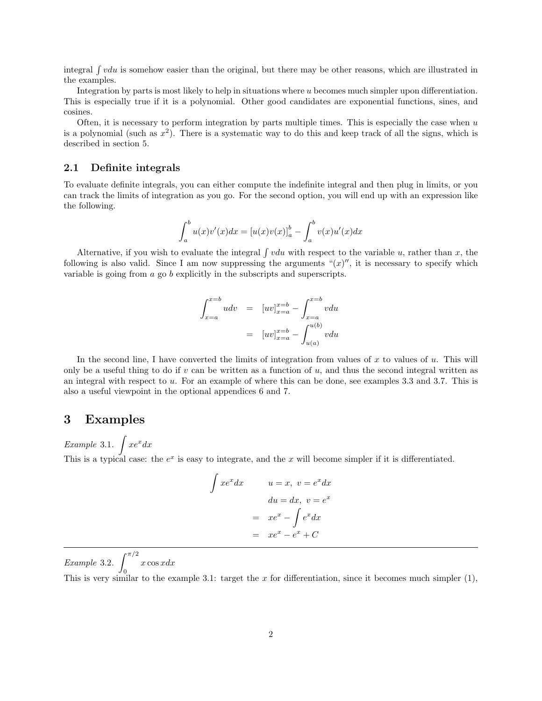integral  $\int vdu$  is somehow easier than the original, but there may be other reasons, which are illustrated in the examples.

Integration by parts is most likely to help in situations where u becomes much simpler upon differentiation. This is especially true if it is a polynomial. Other good candidates are exponential functions, sines, and cosines.

Often, it is necessary to perform integration by parts multiple times. This is especially the case when  $u$ is a polynomial (such as  $x^2$ ). There is a systematic way to do this and keep track of all the signs, which is described in section 5.

#### 2.1 Definite integrals

To evaluate definite integrals, you can either compute the indefinite integral and then plug in limits, or you can track the limits of integration as you go. For the second option, you will end up with an expression like the following.

$$
\int_{a}^{b} u(x)v'(x)dx = [u(x)v(x)]_{a}^{b} - \int_{a}^{b} v(x)u'(x)dx
$$

Alternative, if you wish to evaluate the integral  $\int vdu$  with respect to the variable u, rather than x, the following is also valid. Since I am now suppressing the arguments " $(x)$ ", it is necessary to specify which variable is going from a go b explicitly in the subscripts and superscripts.

$$
\int_{x=a}^{x=b} u dv = [uv]_{x=a}^{x=b} - \int_{x=a}^{x=b} v du
$$

$$
= [uv]_{x=a}^{x=b} - \int_{u(a)}^{u(b)} v du
$$

In the second line, I have converted the limits of integration from values of x to values of  $u$ . This will only be a useful thing to do if  $v$  can be written as a function of  $u$ , and thus the second integral written as an integral with respect to u. For an example of where this can be done, see examples 3.3 and 3.7. This is also a useful viewpoint in the optional appendices 6 and 7.

### 3 Examples

Example 3.1.  $\int xe^x dx$ 

This is a typical case: the  $e^x$  is easy to integrate, and the x will become simpler if it is differentiated.

$$
\int xe^x dx \qquad u = x, \ v = e^x dx
$$

$$
du = dx, \ v = e^x
$$

$$
= xe^x - \int e^x dx
$$

$$
= xe^x - e^x + C
$$

Example 3.2.  $\int_{0}^{\pi/2}$  $x \cos x dx$ 

0 This is very similar to the example 3.1: target the x for differentiation, since it becomes much simpler  $(1)$ ,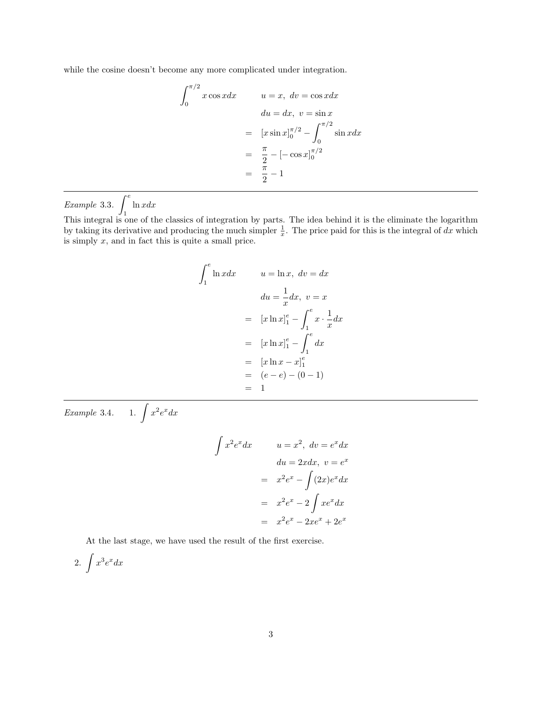while the cosine doesn't become any more complicated under integration.

$$
\int_0^{\pi/2} x \cos x dx \qquad u = x, \ dv = \cos x dx
$$

$$
du = dx, \ v = \sin x
$$

$$
= [x \sin x]_0^{\pi/2} - \int_0^{\pi/2} \sin x dx
$$

$$
= \frac{\pi}{2} - [-\cos x]_0^{\pi/2}
$$

$$
= \frac{\pi}{2} - 1
$$

Example 3.3.  $\int^e$ 1  $ln x dx$ 

This integral is one of the classics of integration by parts. The idea behind it is the eliminate the logarithm by taking its derivative and producing the much simpler  $\frac{1}{x}$ . The price paid for this is the integral of dx which is simply  $x$ , and in fact this is quite a small price.

$$
\int_{1}^{e} \ln x dx \qquad u = \ln x, \ dv = dx
$$

$$
du = \frac{1}{x} dx, \ v = x
$$

$$
= [x \ln x]_{1}^{e} - \int_{1}^{e} x \cdot \frac{1}{x} dx
$$

$$
= [x \ln x]_{1}^{e} - \int_{1}^{e} dx
$$

$$
= [x \ln x - x]_{1}^{e}
$$

$$
= (e - e) - (0 - 1)
$$

$$
= 1
$$

Example 3.4. 1.  $\int x^2 e^x dx$ 

$$
\int x^2 e^x dx
$$
\n
$$
u = x^2, dv = e^x dx
$$
\n
$$
du = 2x dx, v = e^x
$$
\n
$$
= x^2 e^x - \int (2x) e^x dx
$$
\n
$$
= x^2 e^x - 2 \int x e^x dx
$$
\n
$$
= x^2 e^x - 2x e^x + 2e^x
$$

At the last stage, we have used the result of the first exercise.

2.  $\int x^3 e^x dx$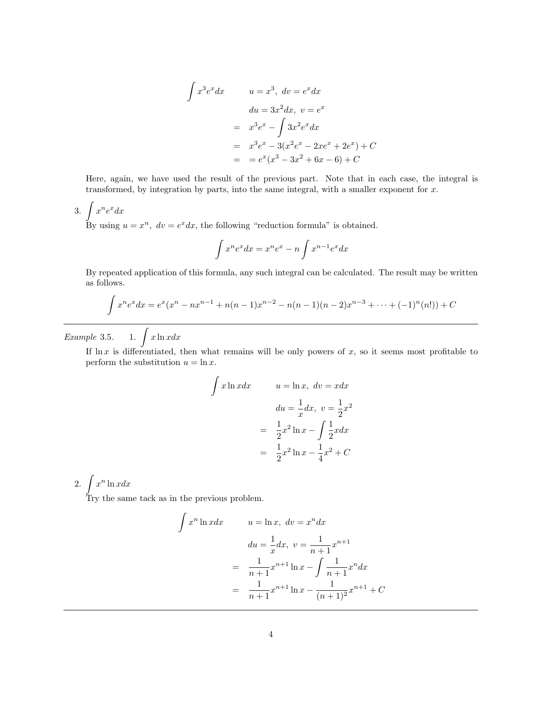$$
\int x^3 e^x dx \qquad u = x^3, \ dv = e^x dx
$$
  
\n
$$
du = 3x^2 dx, \ v = e^x
$$
  
\n
$$
= x^3 e^x - \int 3x^2 e^x dx
$$
  
\n
$$
= x^3 e^x - 3(x^2 e^x - 2xe^x + 2e^x) + C
$$
  
\n
$$
= e^x (x^3 - 3x^2 + 6x - 6) + C
$$

Here, again, we have used the result of the previous part. Note that in each case, the integral is transformed, by integration by parts, into the same integral, with a smaller exponent for  $x$ .

$$
3. \int x^n e^x dx
$$

By using  $u = x^n$ ,  $dv = e^x dx$ , the following "reduction formula" is obtained.

$$
\int x^n e^x dx = x^n e^x - n \int x^{n-1} e^x dx
$$

By repeated application of this formula, any such integral can be calculated. The result may be written as follows.

$$
\int x^n e^x dx = e^x (x^n - nx^{n-1} + n(n-1)x^{n-2} - n(n-1)(n-2)x^{n-3} + \dots + (-1)^n (n!) + C
$$

Example 3.5. 1.  $\int x \ln x dx$ 

If  $\ln x$  is differentiated, then what remains will be only powers of x, so it seems most profitable to perform the substitution  $u = \ln x$ .

$$
\int x \ln x dx \qquad u = \ln x, \ dv = x dx
$$

$$
du = \frac{1}{x} dx, \ v = \frac{1}{2} x^2
$$

$$
= \frac{1}{2} x^2 \ln x - \int \frac{1}{2} x dx
$$

$$
= \frac{1}{2} x^2 \ln x - \frac{1}{4} x^2 + C
$$

2.  $\int x^n \ln x dx$ 

Try the same tack as in the previous problem.

$$
\int x^n \ln x dx \qquad u = \ln x, \ dv = x^n dx
$$

$$
du = \frac{1}{x} dx, \ v = \frac{1}{n+1} x^{n+1}
$$

$$
= \frac{1}{n+1} x^{n+1} \ln x - \int \frac{1}{n+1} x^n dx
$$

$$
= \frac{1}{n+1} x^{n+1} \ln x - \frac{1}{(n+1)^2} x^{n+1} + C
$$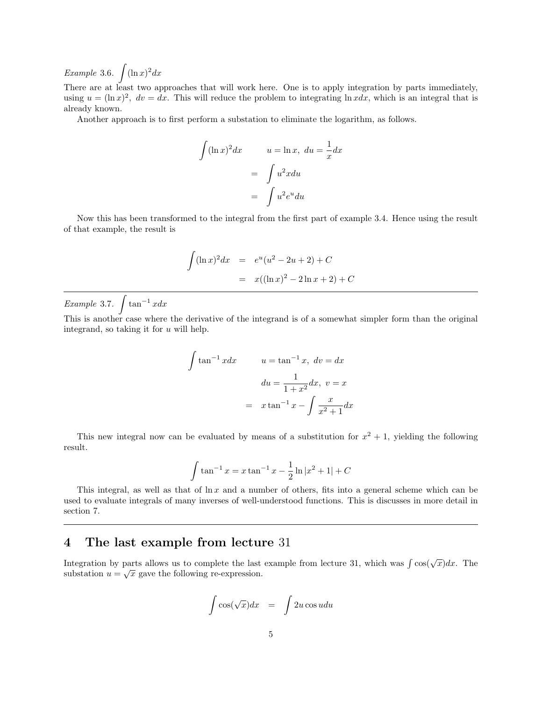Example 3.6.  $\int (\ln x)^2 dx$ 

There are at least two approaches that will work here. One is to apply integration by parts immediately, using  $u = (\ln x)^2$ ,  $dv = dx$ . This will reduce the problem to integrating  $\ln x dx$ , which is an integral that is already known.

Another approach is to first perform a substation to eliminate the logarithm, as follows.

$$
\int (\ln x)^2 dx \qquad u = \ln x, \ du = \frac{1}{x} dx
$$

$$
= \int u^2 x du
$$

$$
= \int u^2 e^u du
$$

Now this has been transformed to the integral from the first part of example 3.4. Hence using the result of that example, the result is

$$
\int (\ln x)^2 dx = e^u (u^2 - 2u + 2) + C
$$
  
=  $x((\ln x)^2 - 2 \ln x + 2) + C$ 

Example 3.7.  $\int \tan^{-1} x dx$ 

This is another case where the derivative of the integrand is of a somewhat simpler form than the original integrand, so taking it for  $u$  will help.

$$
\int \tan^{-1} x dx \qquad u = \tan^{-1} x, \ dv = dx
$$

$$
du = \frac{1}{1+x^2} dx, \ v = x
$$

$$
= x \tan^{-1} x - \int \frac{x}{x^2 + 1} dx
$$

This new integral now can be evaluated by means of a substitution for  $x^2 + 1$ , yielding the following result.

$$
\int \tan^{-1} x = x \tan^{-1} x - \frac{1}{2} \ln |x^2 + 1| + C
$$

This integral, as well as that of  $\ln x$  and a number of others, fits into a general scheme which can be used to evaluate integrals of many inverses of well-understood functions. This is discusses in more detail in section 7.

#### 4 The last example from lecture 31

Integration by parts allows us to complete the last example from lecture 31, which was  $\int \cos(\sqrt{x}) dx$ . The substation  $u = \sqrt{x}$  gave the following re-expression.

$$
\int \cos(\sqrt{x}) dx = \int 2u \cos u du
$$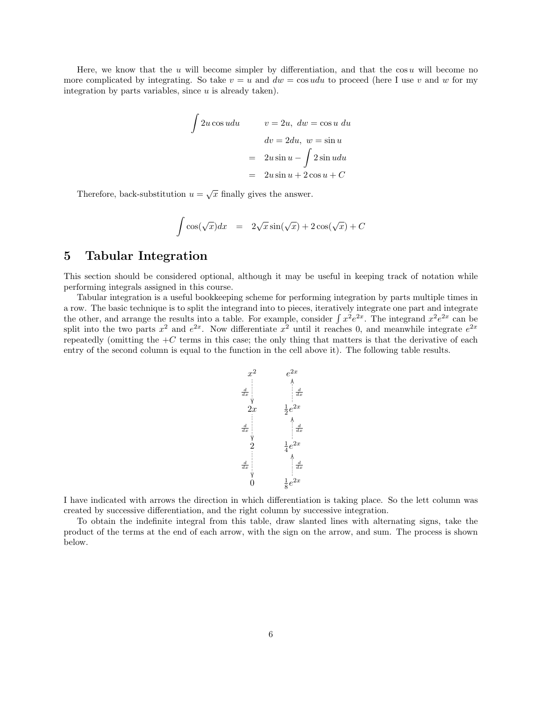Here, we know that the u will become simpler by differentiation, and that the  $\cos u$  will become no more complicated by integrating. So take  $v = u$  and  $dw = \cos u du$  to proceed (here I use v and w for my integration by parts variables, since  $u$  is already taken).

$$
\int 2u \cos u du \qquad v = 2u, \ dw = \cos u \ du
$$

$$
dv = 2du, \ w = \sin u
$$

$$
= 2u \sin u - \int 2 \sin u du
$$

$$
= 2u \sin u + 2 \cos u + C
$$

Therefore, back-substitution  $u = \sqrt{x}$  finally gives the answer.

$$
\int \cos(\sqrt{x})dx = 2\sqrt{x}\sin(\sqrt{x}) + 2\cos(\sqrt{x}) + C
$$

### 5 Tabular Integration

This section should be considered optional, although it may be useful in keeping track of notation while performing integrals assigned in this course.

Tabular integration is a useful bookkeeping scheme for performing integration by parts multiple times in a row. The basic technique is to split the integrand into to pieces, iteratively integrate one part and integrate the other, and arrange the results into a table. For example, consider  $\int x^2 e^{2x}$ . The integrand  $x^2 e^{2x}$  can be split into the two parts  $x^2$  and  $e^{2x}$ . Now differentiate  $x^2$  until it reaches 0, and meanwhile integrate  $e^{2x}$ repeatedly (omitting the  $+C$  terms in this case; the only thing that matters is that the derivative of each entry of the second column is equal to the function in the cell above it). The following table results.



I have indicated with arrows the direction in which differentiation is taking place. So the lett column was created by successive differentiation, and the right column by successive integration.

To obtain the indefinite integral from this table, draw slanted lines with alternating signs, take the product of the terms at the end of each arrow, with the sign on the arrow, and sum. The process is shown below.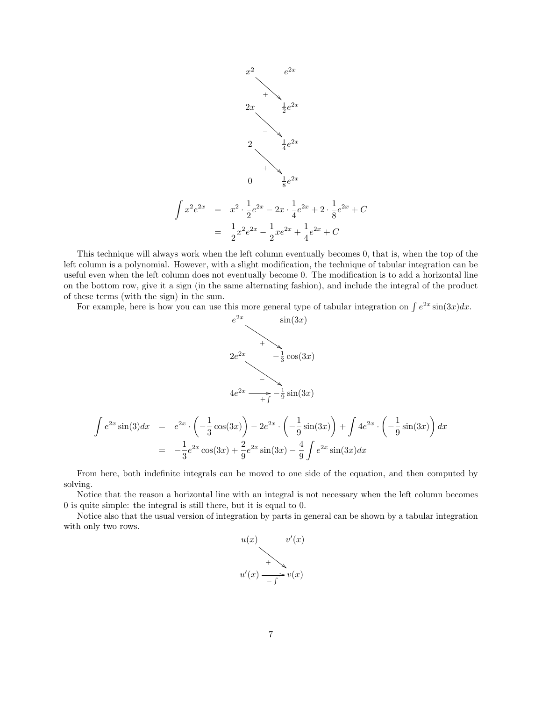

This technique will always work when the left column eventually becomes 0, that is, when the top of the left column is a polynomial. However, with a slight modification, the technique of tabular integration can be useful even when the left column does not eventually become 0. The modification is to add a horizontal line on the bottom row, give it a sign (in the same alternating fashion), and include the integral of the product of these terms (with the sign) in the sum.

For example, here is how you can use this more general type of tabular integration on  $\int e^{2x} \sin(3x) dx$ .



$$
\int e^{2x} \sin(3) dx = e^{2x} \cdot \left( -\frac{1}{3} \cos(3x) \right) - 2e^{2x} \cdot \left( -\frac{1}{9} \sin(3x) \right) + \int 4e^{2x} \cdot \left( -\frac{1}{9} \sin(3x) \right) dx
$$

$$
= -\frac{1}{3} e^{2x} \cos(3x) + \frac{2}{9} e^{2x} \sin(3x) - \frac{4}{9} \int e^{2x} \sin(3x) dx
$$

From here, both indefinite integrals can be moved to one side of the equation, and then computed by solving.

Notice that the reason a horizontal line with an integral is not necessary when the left column becomes 0 is quite simple: the integral is still there, but it is equal to 0.

Notice also that the usual version of integration by parts in general can be shown by a tabular integration with only two rows.

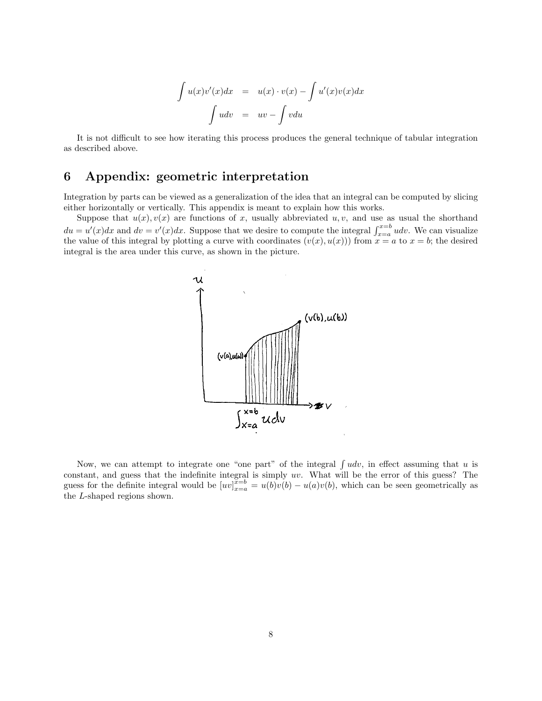$$
\int u(x)v'(x)dx = u(x) \cdot v(x) - \int u'(x)v(x)dx
$$

$$
\int u dv = uv - \int v du
$$

It is not difficult to see how iterating this process produces the general technique of tabular integration as described above.

# 6 Appendix: geometric interpretation

Integration by parts can be viewed as a generalization of the idea that an integral can be computed by slicing either horizontally or vertically. This appendix is meant to explain how this works.

Suppose that  $u(x), v(x)$  are functions of x, usually abbreviated u, v, and use as usual the shorthand  $du = u'(x)dx$  and  $dv = v'(x)dx$ . Suppose that we desire to compute the integral  $\int_{x=a}^{x=b} udv$ . We can visualize the value of this integral by plotting a curve with coordinates  $(v(x), u(x))$  from  $x = a$  to  $x = b$ ; the desired integral is the area under this curve, as shown in the picture.



Now, we can attempt to integrate one "one part" of the integral  $\int u dv$ , in effect assuming that u is constant, and guess that the indefinite integral is simply uv. What will be the error of this guess? The guess for the definite integral would be  $[uv]_{x=a}^{\overline{x=b}} = u(b)v(b) - u(a)v(b)$ , which can be seen geometrically as the L-shaped regions shown.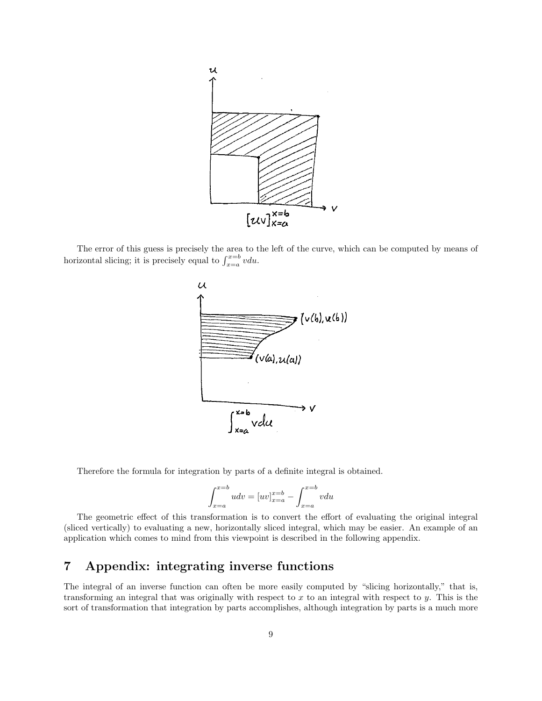

The error of this guess is precisely the area to the left of the curve, which can be computed by means of horizontal slicing; it is precisely equal to  $\int_{x=a}^{x=b} v du$ .



Therefore the formula for integration by parts of a definite integral is obtained.

$$
\int_{x=a}^{x=b} u dv = [uv]_{x=a}^{x=b} - \int_{x=a}^{x=b} v du
$$

The geometric effect of this transformation is to convert the effort of evaluating the original integral (sliced vertically) to evaluating a new, horizontally sliced integral, which may be easier. An example of an application which comes to mind from this viewpoint is described in the following appendix.

# 7 Appendix: integrating inverse functions

The integral of an inverse function can often be more easily computed by "slicing horizontally," that is, transforming an integral that was originally with respect to  $x$  to an integral with respect to  $y$ . This is the sort of transformation that integration by parts accomplishes, although integration by parts is a much more